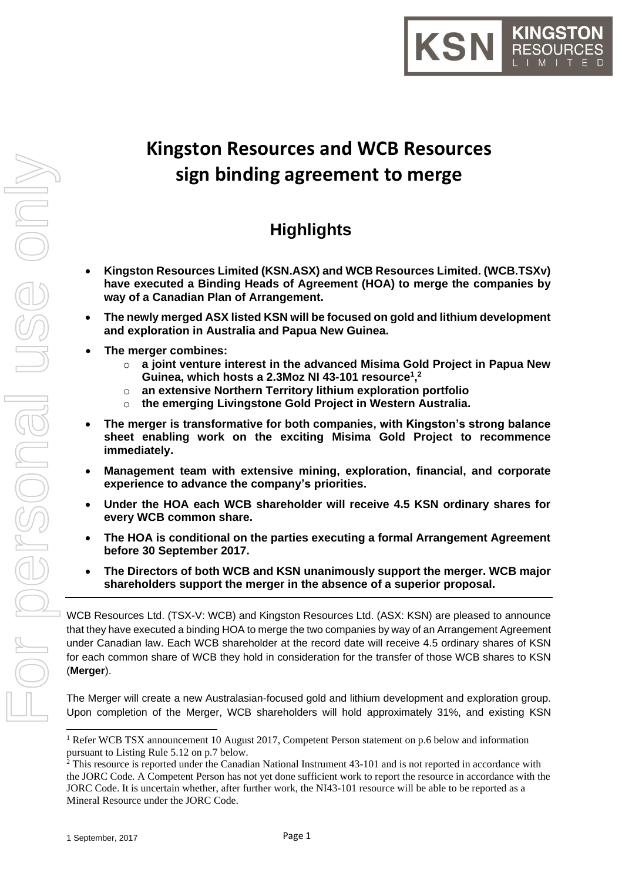

# **Kingston Resources and WCB Resources sign binding agreement to merge**

# **Highlights**

- **Kingston Resources Limited (KSN.ASX) and WCB Resources Limited. (WCB.TSXv) have executed a Binding Heads of Agreement (HOA) to merge the companies by way of a Canadian Plan of Arrangement.**
- **The newly merged ASX listed KSN will be focused on gold and lithium development and exploration in Australia and Papua New Guinea.**
- **The merger combines:**
	- o **a joint venture interest in the advanced Misima Gold Project in Papua New Guinea, which hosts a 2.3Moz NI 43-101 resource<sup>1</sup> , 2**
	- o **an extensive Northern Territory lithium exploration portfolio**
	- o **the emerging Livingstone Gold Project in Western Australia.**
- **The merger is transformative for both companies, with Kingston's strong balance sheet enabling work on the exciting Misima Gold Project to recommence immediately.**
- **Management team with extensive mining, exploration, financial, and corporate experience to advance the company's priorities.**
- **Under the HOA each WCB shareholder will receive 4.5 KSN ordinary shares for every WCB common share.**
- **The HOA is conditional on the parties executing a formal Arrangement Agreement before 30 September 2017.**
- **The Directors of both WCB and KSN unanimously support the merger. WCB major shareholders support the merger in the absence of a superior proposal.**

WCB Resources Ltd. (TSX-V: WCB) and Kingston Resources Ltd. (ASX: KSN) are pleased to announce that they have executed a binding HOA to merge the two companies by way of an Arrangement Agreement under Canadian law. Each WCB shareholder at the record date will receive 4.5 ordinary shares of KSN for each common share of WCB they hold in consideration for the transfer of those WCB shares to KSN (**Merger**).

The Merger will create a new Australasian-focused gold and lithium development and exploration group. Upon completion of the Merger, WCB shareholders will hold approximately 31%, and existing KSN

-

<sup>&</sup>lt;sup>1</sup> Refer WCB TSX announcement 10 August 2017, Competent Person statement on p.6 below and information pursuant to Listing Rule 5.12 on p.7 below.

<sup>&</sup>lt;sup>2</sup> This resource is reported under the Canadian National Instrument 43-101 and is not reported in accordance with the JORC Code. A Competent Person has not yet done sufficient work to report the resource in accordance with the JORC Code. It is uncertain whether, after further work, the NI43-101 resource will be able to be reported as a Mineral Resource under the JORC Code.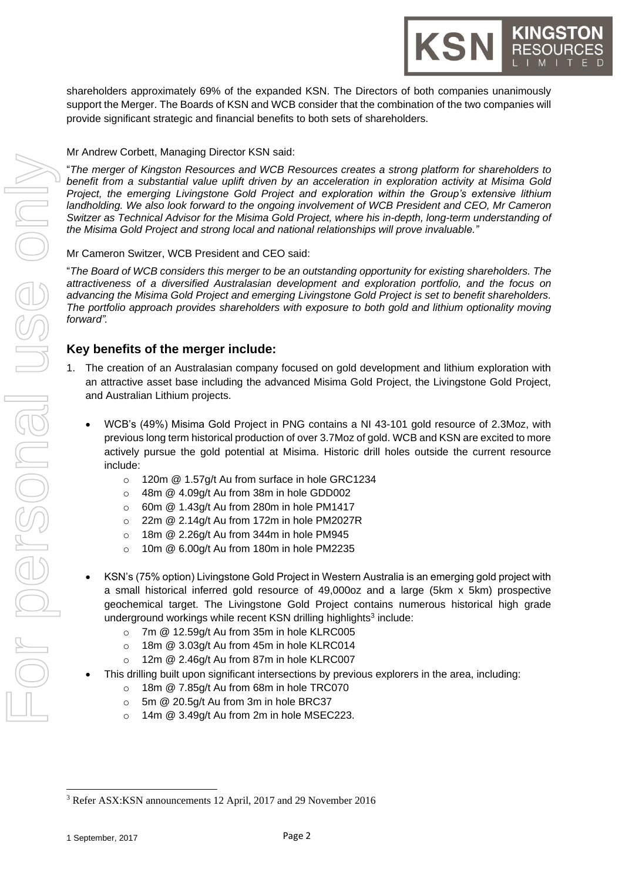shareholders approximately 69% of the expanded KSN. The Directors of both companies unanimously support the Merger. The Boards of KSN and WCB consider that the combination of the two companies will provide significant strategic and financial benefits to both sets of shareholders.

#### Mr Andrew Corbett, Managing Director KSN said:

"*The merger of Kingston Resources and WCB Resources creates a strong platform for shareholders to benefit from a substantial value uplift driven by an acceleration in exploration activity at Misima Gold Project, the emerging Livingstone Gold Project and exploration within the Group's extensive lithium landholding. We also look forward to the ongoing involvement of WCB President and CEO, Mr Cameron Switzer as Technical Advisor for the Misima Gold Project, where his in-depth, long-term understanding of the Misima Gold Project and strong local and national relationships will prove invaluable."*

#### Mr Cameron Switzer, WCB President and CEO said:

"*The Board of WCB considers this merger to be an outstanding opportunity for existing shareholders. The attractiveness of a diversified Australasian development and exploration portfolio, and the focus on advancing the Misima Gold Project and emerging Livingstone Gold Project is set to benefit shareholders. The portfolio approach provides shareholders with exposure to both gold and lithium optionality moving forward".*

#### **Key benefits of the merger include:**

- 1. The creation of an Australasian company focused on gold development and lithium exploration with an attractive asset base including the advanced Misima Gold Project, the Livingstone Gold Project, and Australian Lithium projects.
	- WCB's (49%) Misima Gold Project in PNG contains a NI 43-101 gold resource of 2.3Moz, with previous long term historical production of over 3.7Moz of gold. WCB and KSN are excited to more actively pursue the gold potential at Misima. Historic drill holes outside the current resource include:
		- o 120m @ 1.57g/t Au from surface in hole GRC1234
		- o 48m @ 4.09g/t Au from 38m in hole GDD002
		- $\circ$  60m  $\omega$  1.43g/t Au from 280m in hole PM1417
		- o 22m @ 2.14g/t Au from 172m in hole PM2027R
		- o 18m @ 2.26g/t Au from 344m in hole PM945
		- $\circ$  10m @ 6.00g/t Au from 180m in hole PM2235
	- KSN's (75% option) Livingstone Gold Project in Western Australia is an emerging gold project with a small historical inferred gold resource of 49,000oz and a large (5km x 5km) prospective geochemical target. The Livingstone Gold Project contains numerous historical high grade underground workings while recent KSN drilling highlights<sup>3</sup> include:
		- o 7m @ 12.59g/t Au from 35m in hole KLRC005
		- o 18m @ 3.03g/t Au from 45m in hole KLRC014
		- o 12m @ 2.46g/t Au from 87m in hole KLRC007
		- This drilling built upon significant intersections by previous explorers in the area, including:
			- o 18m @ 7.85g/t Au from 68m in hole TRC070
			- o 5m @ 20.5g/t Au from 3m in hole BRC37
			- $\circ$  14m  $\omega$  3.49g/t Au from 2m in hole MSEC223.

1

<sup>3</sup> Refer ASX:KSN announcements 12 April, 2017 and 29 November 2016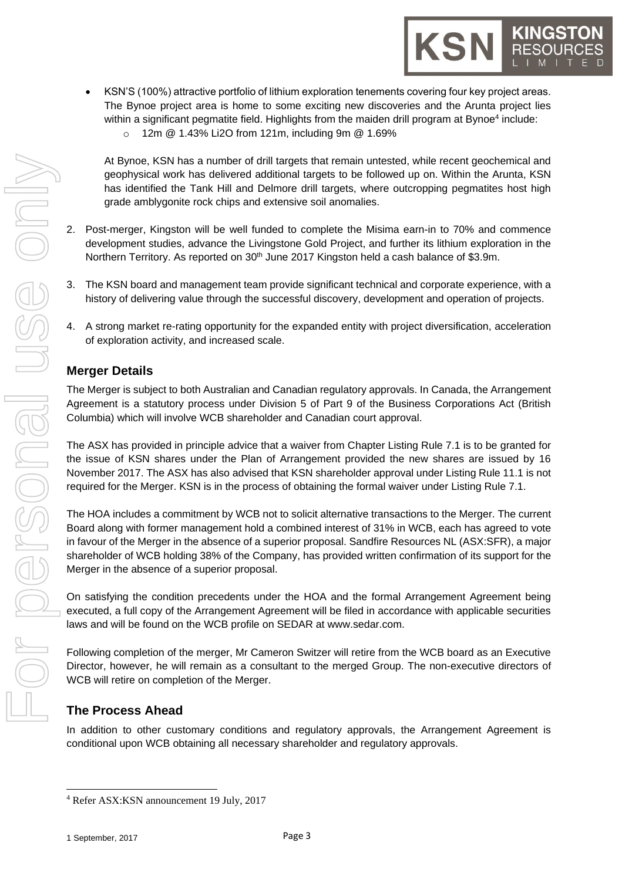- KSN'S (100%) attractive portfolio of lithium exploration tenements covering four key project areas. The Bynoe project area is home to some exciting new discoveries and the Arunta project lies within a significant pegmatite field. Highlights from the maiden drill program at Bynoe<sup>4</sup> include:
	- o 12m @ 1.43% Li2O from 121m, including 9m @ 1.69%

At Bynoe, KSN has a number of drill targets that remain untested, while recent geochemical and geophysical work has delivered additional targets to be followed up on. Within the Arunta, KSN has identified the Tank Hill and Delmore drill targets, where outcropping pegmatites host high grade amblygonite rock chips and extensive soil anomalies.

- 2. Post-merger, Kingston will be well funded to complete the Misima earn-in to 70% and commence development studies, advance the Livingstone Gold Project, and further its lithium exploration in the Northern Territory. As reported on 30<sup>th</sup> June 2017 Kingston held a cash balance of \$3.9m.
- 3. The KSN board and management team provide significant technical and corporate experience, with a history of delivering value through the successful discovery, development and operation of projects.
- 4. A strong market re-rating opportunity for the expanded entity with project diversification, acceleration of exploration activity, and increased scale.

# **Merger Details**

The Merger is subject to both Australian and Canadian regulatory approvals. In Canada, the Arrangement Agreement is a statutory process under Division 5 of Part 9 of the Business Corporations Act (British Columbia) which will involve WCB shareholder and Canadian court approval.

The ASX has provided in principle advice that a waiver from Chapter Listing Rule 7.1 is to be granted for the issue of KSN shares under the Plan of Arrangement provided the new shares are issued by 16 November 2017. The ASX has also advised that KSN shareholder approval under Listing Rule 11.1 is not required for the Merger. KSN is in the process of obtaining the formal waiver under Listing Rule 7.1.

The HOA includes a commitment by WCB not to solicit alternative transactions to the Merger. The current Board along with former management hold a combined interest of 31% in WCB, each has agreed to vote in favour of the Merger in the absence of a superior proposal. Sandfire Resources NL (ASX:SFR), a major shareholder of WCB holding 38% of the Company, has provided written confirmation of its support for the Merger in the absence of a superior proposal.

On satisfying the condition precedents under the HOA and the formal Arrangement Agreement being executed, a full copy of the Arrangement Agreement will be filed in accordance with applicable securities laws and will be found on the WCB profile on SEDAR at [www.sedar.com.](http://www.sedar.com/)

Following completion of the merger, Mr Cameron Switzer will retire from the WCB board as an Executive Director, however, he will remain as a consultant to the merged Group. The non-executive directors of WCB will retire on completion of the Merger.

# **The Process Ahead**

In addition to other customary conditions and regulatory approvals, the Arrangement Agreement is conditional upon WCB obtaining all necessary shareholder and regulatory approvals.

1

<sup>4</sup> Refer ASX:KSN announcement 19 July, 2017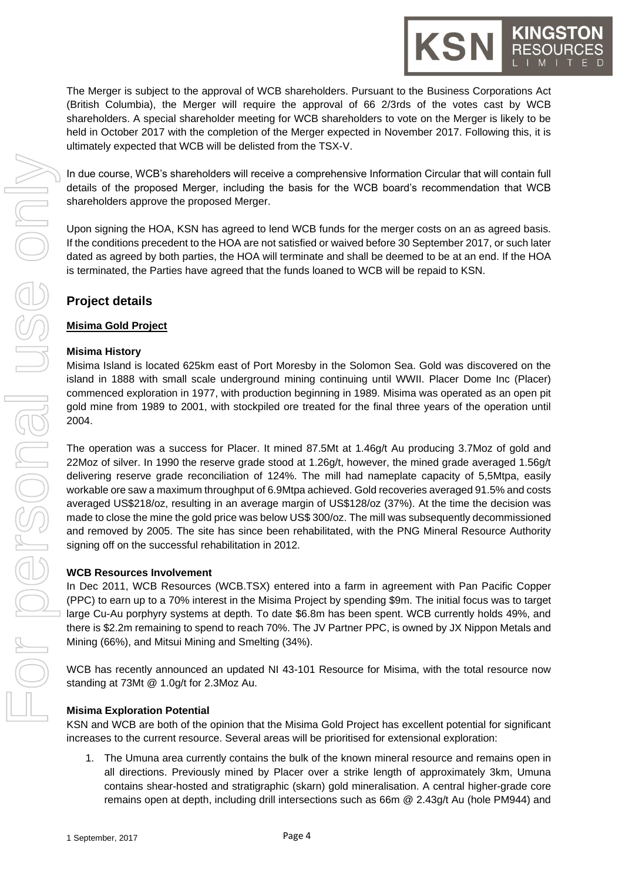The Merger is subject to the approval of WCB shareholders. Pursuant to the Business Corporations Act (British Columbia), the Merger will require the approval of 66 2/3rds of the votes cast by WCB shareholders. A special shareholder meeting for WCB shareholders to vote on the Merger is likely to be held in October 2017 with the completion of the Merger expected in November 2017. Following this, it is ultimately expected that WCB will be delisted from the TSX-V.

In due course, WCB's shareholders will receive a comprehensive Information Circular that will contain full details of the proposed Merger, including the basis for the WCB board's recommendation that WCB shareholders approve the proposed Merger.

Upon signing the HOA, KSN has agreed to lend WCB funds for the merger costs on an as agreed basis. If the conditions precedent to the HOA are not satisfied or waived before 30 September 2017, or such later dated as agreed by both parties, the HOA will terminate and shall be deemed to be at an end. If the HOA is terminated, the Parties have agreed that the funds loaned to WCB will be repaid to KSN.

# **Project details**

#### **Misima Gold Project**

#### **Misima History**

Misima Island is located 625km east of Port Moresby in the Solomon Sea. Gold was discovered on the island in 1888 with small scale underground mining continuing until WWII. Placer Dome Inc (Placer) commenced exploration in 1977, with production beginning in 1989. Misima was operated as an open pit gold mine from 1989 to 2001, with stockpiled ore treated for the final three years of the operation until 2004.

The operation was a success for Placer. It mined 87.5Mt at 1.46g/t Au producing 3.7Moz of gold and 22Moz of silver. In 1990 the reserve grade stood at 1.26g/t, however, the mined grade averaged 1.56g/t delivering reserve grade reconciliation of 124%. The mill had nameplate capacity of 5,5Mtpa, easily workable ore saw a maximum throughput of 6.9Mtpa achieved. Gold recoveries averaged 91.5% and costs averaged US\$218/oz, resulting in an average margin of US\$128/oz (37%). At the time the decision was made to close the mine the gold price was below US\$ 300/oz. The mill was subsequently decommissioned and removed by 2005. The site has since been rehabilitated, with the PNG Mineral Resource Authority signing off on the successful rehabilitation in 2012.

#### **WCB Resources Involvement**

In Dec 2011, WCB Resources (WCB.TSX) entered into a farm in agreement with Pan Pacific Copper (PPC) to earn up to a 70% interest in the Misima Project by spending \$9m. The initial focus was to target large Cu-Au porphyry systems at depth. To date \$6.8m has been spent. WCB currently holds 49%, and there is \$2.2m remaining to spend to reach 70%. The JV Partner PPC, is owned by JX Nippon Metals and Mining (66%), and Mitsui Mining and Smelting (34%).

WCB has recently announced an updated NI 43-101 Resource for Misima, with the total resource now standing at 73Mt @ 1.0g/t for 2.3Moz Au.

#### **Misima Exploration Potential**

KSN and WCB are both of the opinion that the Misima Gold Project has excellent potential for significant increases to the current resource. Several areas will be prioritised for extensional exploration:

1. The Umuna area currently contains the bulk of the known mineral resource and remains open in all directions. Previously mined by Placer over a strike length of approximately 3km, Umuna contains shear-hosted and stratigraphic (skarn) gold mineralisation. A central higher-grade core remains open at depth, including drill intersections such as 66m @ 2.43g/t Au (hole PM944) and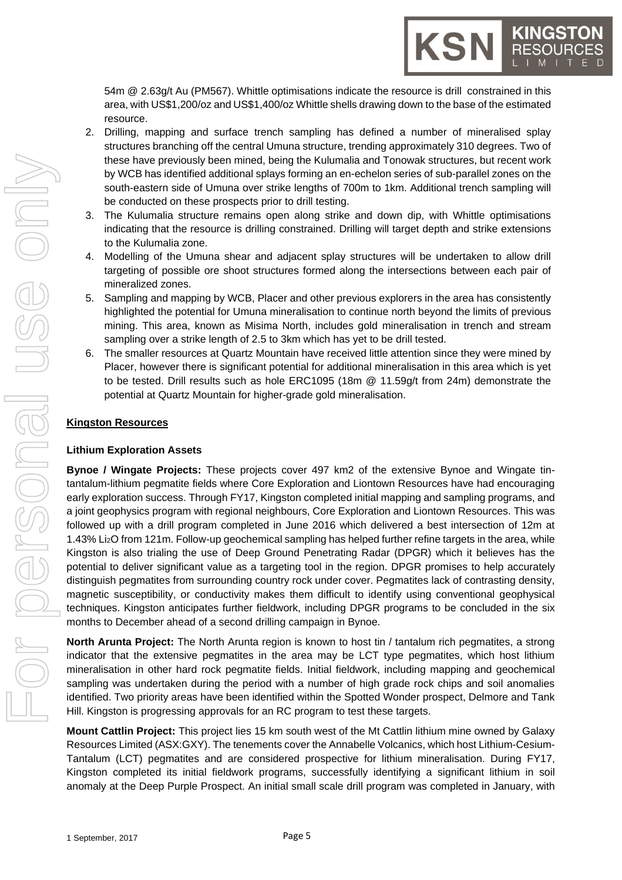54m @ 2.63g/t Au (PM567). Whittle optimisations indicate the resource is drill constrained in this area, with US\$1,200/oz and US\$1,400/oz Whittle shells drawing down to the base of the estimated resource.

KSN

- 2. Drilling, mapping and surface trench sampling has defined a number of mineralised splay structures branching off the central Umuna structure, trending approximately 310 degrees. Two of these have previously been mined, being the Kulumalia and Tonowak structures, but recent work by WCB has identified additional splays forming an en-echelon series of sub-parallel zones on the south-eastern side of Umuna over strike lengths of 700m to 1km. Additional trench sampling will be conducted on these prospects prior to drill testing.
- 3. The Kulumalia structure remains open along strike and down dip, with Whittle optimisations indicating that the resource is drilling constrained. Drilling will target depth and strike extensions to the Kulumalia zone.
- 4. Modelling of the Umuna shear and adjacent splay structures will be undertaken to allow drill targeting of possible ore shoot structures formed along the intersections between each pair of mineralized zones.
- 5. Sampling and mapping by WCB, Placer and other previous explorers in the area has consistently highlighted the potential for Umuna mineralisation to continue north beyond the limits of previous mining. This area, known as Misima North, includes gold mineralisation in trench and stream sampling over a strike length of 2.5 to 3km which has yet to be drill tested.
- 6. The smaller resources at Quartz Mountain have received little attention since they were mined by Placer, however there is significant potential for additional mineralisation in this area which is yet to be tested. Drill results such as hole ERC1095 (18m @ 11.59g/t from 24m) demonstrate the potential at Quartz Mountain for higher-grade gold mineralisation.

# **Kingston Resources**

#### **Lithium Exploration Assets**

**Bynoe / Wingate Projects:** These projects cover 497 km2 of the extensive Bynoe and Wingate tintantalum-lithium pegmatite fields where Core Exploration and Liontown Resources have had encouraging early exploration success. Through FY17, Kingston completed initial mapping and sampling programs, and a joint geophysics program with regional neighbours, Core Exploration and Liontown Resources. This was followed up with a drill program completed in June 2016 which delivered a best intersection of 12m at 1.43% Li2O from 121m. Follow-up geochemical sampling has helped further refine targets in the area, while Kingston is also trialing the use of Deep Ground Penetrating Radar (DPGR) which it believes has the potential to deliver significant value as a targeting tool in the region. DPGR promises to help accurately distinguish pegmatites from surrounding country rock under cover. Pegmatites lack of contrasting density, magnetic susceptibility, or conductivity makes them difficult to identify using conventional geophysical techniques. Kingston anticipates further fieldwork, including DPGR programs to be concluded in the six months to December ahead of a second drilling campaign in Bynoe.

**North Arunta Project:** The North Arunta region is known to host tin / tantalum rich pegmatites, a strong indicator that the extensive pegmatites in the area may be LCT type pegmatites, which host lithium mineralisation in other hard rock pegmatite fields. Initial fieldwork, including mapping and geochemical sampling was undertaken during the period with a number of high grade rock chips and soil anomalies identified. Two priority areas have been identified within the Spotted Wonder prospect, Delmore and Tank Hill. Kingston is progressing approvals for an RC program to test these targets.

**Mount Cattlin Project:** This project lies 15 km south west of the Mt Cattlin lithium mine owned by Galaxy Resources Limited (ASX:GXY). The tenements cover the Annabelle Volcanics, which host Lithium-Cesium-Tantalum (LCT) pegmatites and are considered prospective for lithium mineralisation. During FY17, Kingston completed its initial fieldwork programs, successfully identifying a significant lithium in soil anomaly at the Deep Purple Prospect. An initial small scale drill program was completed in January, with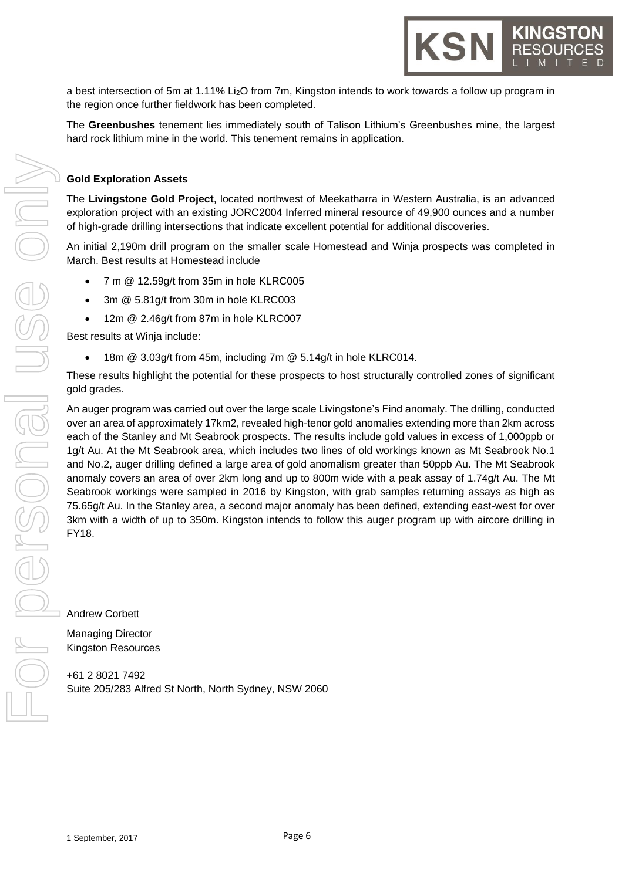a best intersection of 5m at 1.11% Li2O from 7m, Kingston intends to work towards a follow up program in the region once further fieldwork has been completed.

The **Greenbushes** tenement lies immediately south of Talison Lithium's Greenbushes mine, the largest hard rock lithium mine in the world. This tenement remains in application.

#### **Gold Exploration Assets**

The **Livingstone Gold Project**, located northwest of Meekatharra in Western Australia, is an advanced exploration project with an existing JORC2004 Inferred mineral resource of 49,900 ounces and a number of high-grade drilling intersections that indicate excellent potential for additional discoveries.

An initial 2,190m drill program on the smaller scale Homestead and Winja prospects was completed in March. Best results at Homestead include

- 7 m @ 12.59g/t from 35m in hole KLRC005
- 3m @ 5.81g/t from 30m in hole KLRC003
- 12m @ 2.46g/t from 87m in hole KLRC007

Best results at Winja include:

• 18m @ 3.03g/t from 45m, including 7m @ 5.14g/t in hole KLRC014.

These results highlight the potential for these prospects to host structurally controlled zones of significant gold grades.

An auger program was carried out over the large scale Livingstone's Find anomaly. The drilling, conducted over an area of approximately 17km2, revealed high-tenor gold anomalies extending more than 2km across each of the Stanley and Mt Seabrook prospects. The results include gold values in excess of 1,000ppb or 1g/t Au. At the Mt Seabrook area, which includes two lines of old workings known as Mt Seabrook No.1 and No.2, auger drilling defined a large area of gold anomalism greater than 50ppb Au. The Mt Seabrook anomaly covers an area of over 2km long and up to 800m wide with a peak assay of 1.74g/t Au. The Mt Seabrook workings were sampled in 2016 by Kingston, with grab samples returning assays as high as 75.65g/t Au. In the Stanley area, a second major anomaly has been defined, extending east-west for over 3km with a width of up to 350m. Kingston intends to follow this auger program up with aircore drilling in FY18.

Andrew Corbett

Managing Director Kingston Resources

+61 2 8021 7492 Suite 205/283 Alfred St North, North Sydney, NSW 2060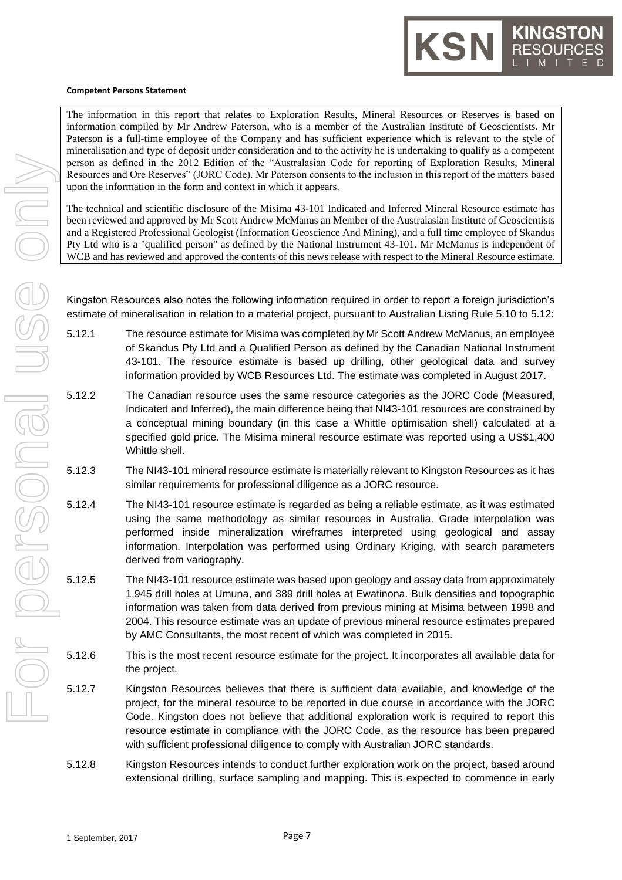#### **Competent Persons Statement**

The information in this report that relates to Exploration Results, Mineral Resources or Reserves is based on information compiled by Mr Andrew Paterson, who is a member of the Australian Institute of Geoscientists. Mr Paterson is a full-time employee of the Company and has sufficient experience which is relevant to the style of mineralisation and type of deposit under consideration and to the activity he is undertaking to qualify as a competent person as defined in the 2012 Edition of the "Australasian Code for reporting of Exploration Results, Mineral Resources and Ore Reserves" (JORC Code). Mr Paterson consents to the inclusion in this report of the matters based upon the information in the form and context in which it appears.

KSN

The technical and scientific disclosure of the Misima 43-101 Indicated and Inferred Mineral Resource estimate has been reviewed and approved by Mr Scott Andrew McManus an Member of the Australasian Institute of Geoscientists and a Registered Professional Geologist (Information Geoscience And Mining), and a full time employee of Skandus Pty Ltd who is a "qualified person" as defined by the National Instrument 43-101. Mr McManus is independent of WCB and has reviewed and approved the contents of this news release with respect to the Mineral Resource estimate.

Kingston Resources also notes the following information required in order to report a foreign jurisdiction's estimate of mineralisation in relation to a material project, pursuant to Australian Listing Rule 5.10 to 5.12:

- 5.12.1 The resource estimate for Misima was completed by Mr Scott Andrew McManus, an employee of Skandus Pty Ltd and a Qualified Person as defined by the Canadian National Instrument 43-101. The resource estimate is based up drilling, other geological data and survey information provided by WCB Resources Ltd. The estimate was completed in August 2017.
- 5.12.2 The Canadian resource uses the same resource categories as the JORC Code (Measured, Indicated and Inferred), the main difference being that NI43-101 resources are constrained by a conceptual mining boundary (in this case a Whittle optimisation shell) calculated at a specified gold price. The Misima mineral resource estimate was reported using a US\$1,400 Whittle shell.
- 5.12.3 The NI43-101 mineral resource estimate is materially relevant to Kingston Resources as it has similar requirements for professional diligence as a JORC resource.
- 5.12.4 The NI43-101 resource estimate is regarded as being a reliable estimate, as it was estimated using the same methodology as similar resources in Australia. Grade interpolation was performed inside mineralization wireframes interpreted using geological and assay information. Interpolation was performed using Ordinary Kriging, with search parameters derived from variography.
- 5.12.5 The NI43-101 resource estimate was based upon geology and assay data from approximately 1,945 drill holes at Umuna, and 389 drill holes at Ewatinona. Bulk densities and topographic information was taken from data derived from previous mining at Misima between 1998 and 2004. This resource estimate was an update of previous mineral resource estimates prepared by AMC Consultants, the most recent of which was completed in 2015.
- 5.12.6 This is the most recent resource estimate for the project. It incorporates all available data for the project.
- 5.12.7 Kingston Resources believes that there is sufficient data available, and knowledge of the project, for the mineral resource to be reported in due course in accordance with the JORC Code. Kingston does not believe that additional exploration work is required to report this resource estimate in compliance with the JORC Code, as the resource has been prepared with sufficient professional diligence to comply with Australian JORC standards.
- 5.12.8 Kingston Resources intends to conduct further exploration work on the project, based around extensional drilling, surface sampling and mapping. This is expected to commence in early